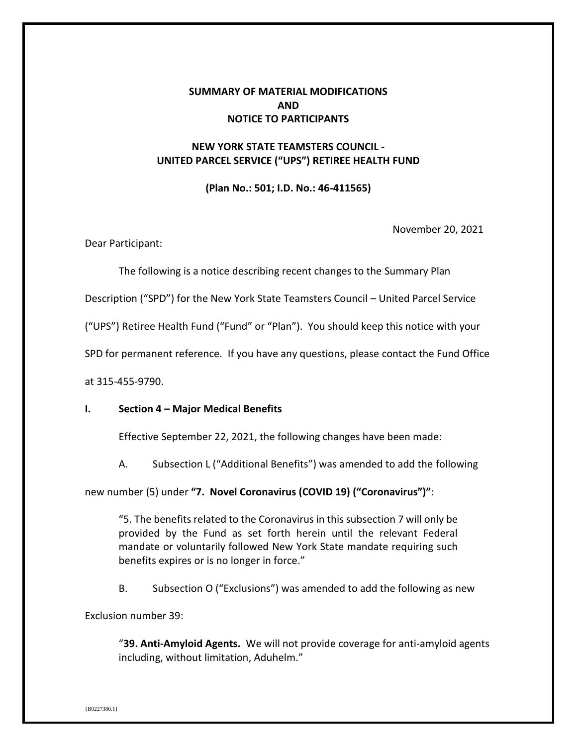# **SUMMARY OF MATERIAL MODIFICATIONS AND NOTICE TO PARTICIPANTS**

# **NEW YORK STATE TEAMSTERS COUNCIL - UNITED PARCEL SERVICE ("UPS") RETIREE HEALTH FUND**

**(Plan No.: 501; I.D. No.: 46-411565)**

November 20, 2021

Dear Participant:

The following is a notice describing recent changes to the Summary Plan

Description ("SPD") for the New York State Teamsters Council – United Parcel Service

("UPS") Retiree Health Fund ("Fund" or "Plan"). You should keep this notice with your

SPD for permanent reference. If you have any questions, please contact the Fund Office

at 315-455-9790.

## **I. Section 4 – Major Medical Benefits**

Effective September 22, 2021, the following changes have been made:

A. Subsection L ("Additional Benefits") was amended to add the following

new number (5) under **"7. Novel Coronavirus (COVID 19) ("Coronavirus")"**:

"5. The benefits related to the Coronavirus in this subsection 7 will only be provided by the Fund as set forth herein until the relevant Federal mandate or voluntarily followed New York State mandate requiring such benefits expires or is no longer in force."

B. Subsection O ("Exclusions") was amended to add the following as new

Exclusion number 39:

"**39. Anti-Amyloid Agents.** We will not provide coverage for anti-amyloid agents including, without limitation, Aduhelm."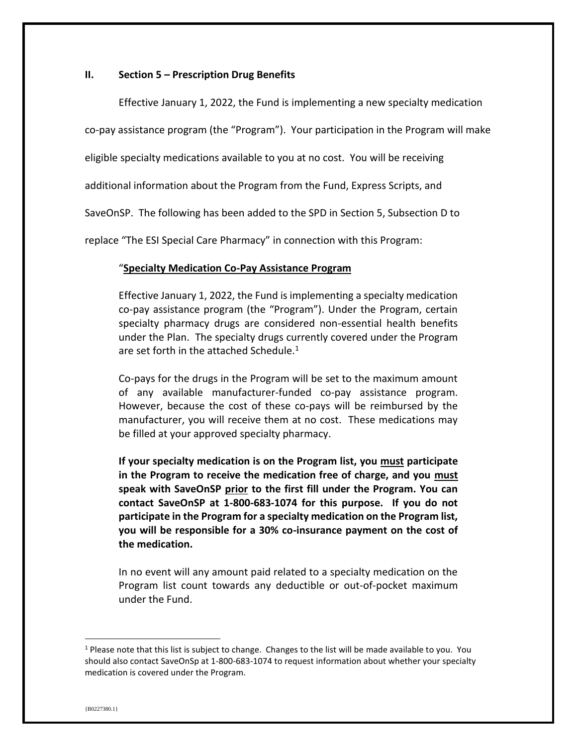### **II. Section 5 – Prescription Drug Benefits**

Effective January 1, 2022, the Fund is implementing a new specialty medication

co-pay assistance program (the "Program"). Your participation in the Program will make

eligible specialty medications available to you at no cost. You will be receiving

additional information about the Program from the Fund, Express Scripts, and

SaveOnSP. The following has been added to the SPD in Section 5, Subsection D to

replace "The ESI Special Care Pharmacy" in connection with this Program:

#### "**Specialty Medication Co-Pay Assistance Program**

Effective January 1, 2022, the Fund is implementing a specialty medication co-pay assistance program (the "Program"). Under the Program, certain specialty pharmacy drugs are considered non-essential health benefits under the Plan. The specialty drugs currently covered under the Program are set forth in the attached Schedule. $1$ 

Co-pays for the drugs in the Program will be set to the maximum amount of any available manufacturer-funded co-pay assistance program. However, because the cost of these co-pays will be reimbursed by the manufacturer, you will receive them at no cost. These medications may be filled at your approved specialty pharmacy.

**If your specialty medication is on the Program list, you must participate in the Program to receive the medication free of charge, and you must speak with SaveOnSP prior to the first fill under the Program. You can contact SaveOnSP at 1-800-683-1074 for this purpose. If you do not participate in the Program for a specialty medication on the Program list, you will be responsible for a 30% co-insurance payment on the cost of the medication.**

In no event will any amount paid related to a specialty medication on the Program list count towards any deductible or out-of-pocket maximum under the Fund.

<sup>&</sup>lt;sup>1</sup> Please note that this list is subject to change. Changes to the list will be made available to you. You should also contact SaveOnSp at 1-800-683-1074 to request information about whether your specialty medication is covered under the Program.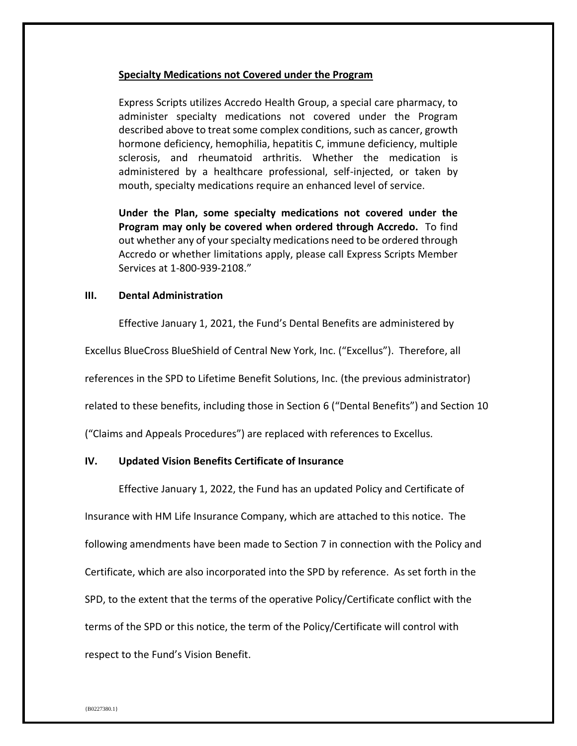#### **Specialty Medications not Covered under the Program**

Express Scripts utilizes Accredo Health Group, a special care pharmacy, to administer specialty medications not covered under the Program described above to treat some complex conditions, such as cancer, growth hormone deficiency, hemophilia, hepatitis C, immune deficiency, multiple sclerosis, and rheumatoid arthritis. Whether the medication is administered by a healthcare professional, self-injected, or taken by mouth, specialty medications require an enhanced level of service.

**Under the Plan, some specialty medications not covered under the Program may only be covered when ordered through Accredo.** To find out whether any of your specialty medications need to be ordered through Accredo or whether limitations apply, please call Express Scripts Member Services at 1-800-939-2108."

#### **III. Dental Administration**

Effective January 1, 2021, the Fund's Dental Benefits are administered by

Excellus BlueCross BlueShield of Central New York, Inc. ("Excellus"). Therefore, all

references in the SPD to Lifetime Benefit Solutions, Inc. (the previous administrator)

related to these benefits, including those in Section 6 ("Dental Benefits") and Section 10

("Claims and Appeals Procedures") are replaced with references to Excellus.

#### **IV. Updated Vision Benefits Certificate of Insurance**

Effective January 1, 2022, the Fund has an updated Policy and Certificate of Insurance with HM Life Insurance Company, which are attached to this notice. The following amendments have been made to Section 7 in connection with the Policy and Certificate, which are also incorporated into the SPD by reference. As set forth in the SPD, to the extent that the terms of the operative Policy/Certificate conflict with the terms of the SPD or this notice, the term of the Policy/Certificate will control with respect to the Fund's Vision Benefit.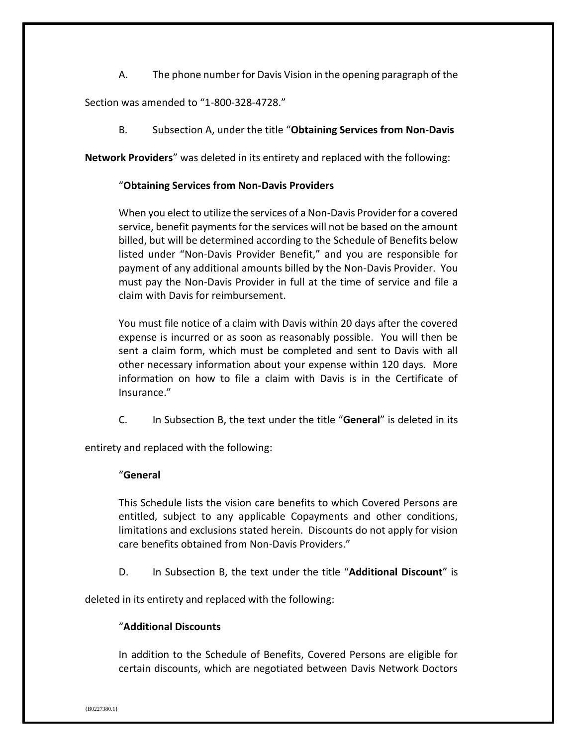A. The phone number for Davis Vision in the opening paragraph of the

## Section was amended to "1-800-328-4728."

B. Subsection A, under the title "**Obtaining Services from Non-Davis** 

**Network Providers**" was deleted in its entirety and replaced with the following:

### "**Obtaining Services from Non-Davis Providers**

When you elect to utilize the services of a Non-Davis Provider for a covered service, benefit payments for the services will not be based on the amount billed, but will be determined according to the Schedule of Benefits below listed under "Non-Davis Provider Benefit," and you are responsible for payment of any additional amounts billed by the Non-Davis Provider. You must pay the Non-Davis Provider in full at the time of service and file a claim with Davis for reimbursement.

You must file notice of a claim with Davis within 20 days after the covered expense is incurred or as soon as reasonably possible. You will then be sent a claim form, which must be completed and sent to Davis with all other necessary information about your expense within 120 days. More information on how to file a claim with Davis is in the Certificate of Insurance."

C. In Subsection B, the text under the title "**General**" is deleted in its

entirety and replaced with the following:

### "**General**

This Schedule lists the vision care benefits to which Covered Persons are entitled, subject to any applicable Copayments and other conditions, limitations and exclusions stated herein. Discounts do not apply for vision care benefits obtained from Non-Davis Providers."

D. In Subsection B, the text under the title "**Additional Discount**" is

deleted in its entirety and replaced with the following:

## "**Additional Discounts**

In addition to the Schedule of Benefits, Covered Persons are eligible for certain discounts, which are negotiated between Davis Network Doctors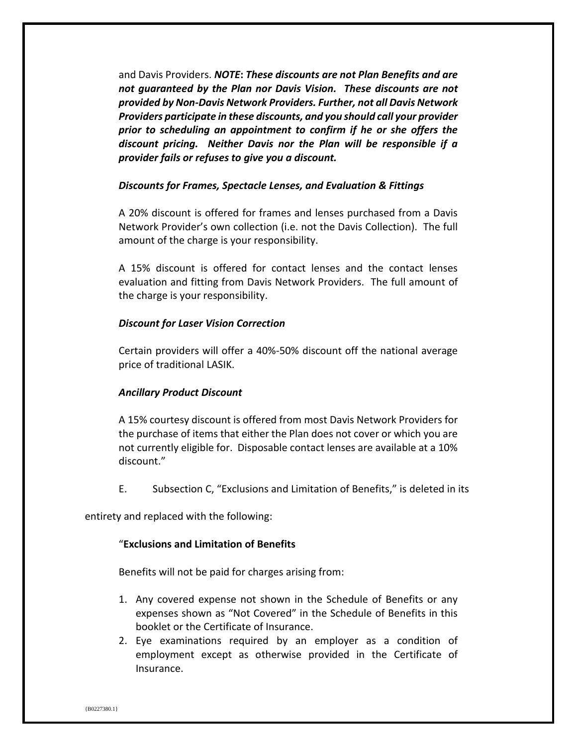and Davis Providers. *NOTE***:** *These discounts are not Plan Benefits and are not guaranteed by the Plan nor Davis Vision. These discounts are not provided by Non-Davis Network Providers. Further, not all Davis Network Providers participate in these discounts, and you should call your provider prior to scheduling an appointment to confirm if he or she offers the discount pricing. Neither Davis nor the Plan will be responsible if a provider fails or refuses to give you a discount.*

### *Discounts for Frames, Spectacle Lenses, and Evaluation & Fittings*

A 20% discount is offered for frames and lenses purchased from a Davis Network Provider's own collection (i.e. not the Davis Collection). The full amount of the charge is your responsibility.

A 15% discount is offered for contact lenses and the contact lenses evaluation and fitting from Davis Network Providers. The full amount of the charge is your responsibility.

## *Discount for Laser Vision Correction*

Certain providers will offer a 40%-50% discount off the national average price of traditional LASIK.

## *Ancillary Product Discount*

A 15% courtesy discount is offered from most Davis Network Providers for the purchase of items that either the Plan does not cover or which you are not currently eligible for. Disposable contact lenses are available at a 10% discount."

E. Subsection C, "Exclusions and Limitation of Benefits," is deleted in its

entirety and replaced with the following:

## "**Exclusions and Limitation of Benefits**

Benefits will not be paid for charges arising from:

- 1. Any covered expense not shown in the Schedule of Benefits or any expenses shown as "Not Covered" in the Schedule of Benefits in this booklet or the Certificate of Insurance.
- 2. Eye examinations required by an employer as a condition of employment except as otherwise provided in the Certificate of Insurance.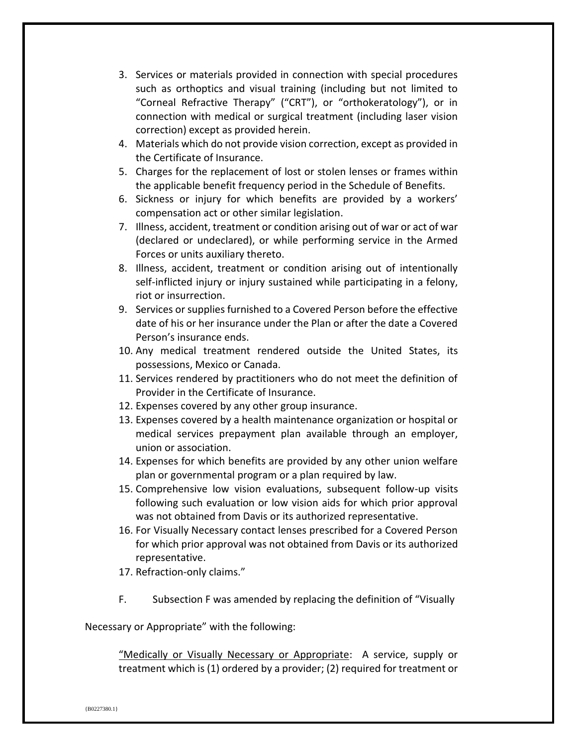- 3. Services or materials provided in connection with special procedures such as orthoptics and visual training (including but not limited to "Corneal Refractive Therapy" ("CRT"), or "orthokeratology"), or in connection with medical or surgical treatment (including laser vision correction) except as provided herein.
- 4. Materials which do not provide vision correction, except as provided in the Certificate of Insurance.
- 5. Charges for the replacement of lost or stolen lenses or frames within the applicable benefit frequency period in the Schedule of Benefits.
- 6. Sickness or injury for which benefits are provided by a workers' compensation act or other similar legislation.
- 7. Illness, accident, treatment or condition arising out of war or act of war (declared or undeclared), or while performing service in the Armed Forces or units auxiliary thereto.
- 8. Illness, accident, treatment or condition arising out of intentionally self-inflicted injury or injury sustained while participating in a felony, riot or insurrection.
- 9. Services or supplies furnished to a Covered Person before the effective date of his or her insurance under the Plan or after the date a Covered Person's insurance ends.
- 10. Any medical treatment rendered outside the United States, its possessions, Mexico or Canada.
- 11. Services rendered by practitioners who do not meet the definition of Provider in the Certificate of Insurance.
- 12. Expenses covered by any other group insurance.
- 13. Expenses covered by a health maintenance organization or hospital or medical services prepayment plan available through an employer, union or association.
- 14. Expenses for which benefits are provided by any other union welfare plan or governmental program or a plan required by law.
- 15. Comprehensive low vision evaluations, subsequent follow-up visits following such evaluation or low vision aids for which prior approval was not obtained from Davis or its authorized representative.
- 16. For Visually Necessary contact lenses prescribed for a Covered Person for which prior approval was not obtained from Davis or its authorized representative.
- 17. Refraction-only claims."
- F. Subsection F was amended by replacing the definition of "Visually

Necessary or Appropriate" with the following:

"Medically or Visually Necessary or Appropriate: A service, supply or treatment which is (1) ordered by a provider; (2) required for treatment or